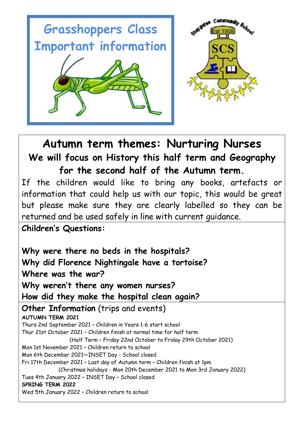

**Autumn term themes: Nurturing Nurses We will focus on History this half term and Geography for the second half of the Autumn term.**

If the children would like to bring any books, artefacts or information that could help us with our topic, this would be great but please make sure they are clearly labelled so they can be returned and be used safely in line with current guidance.

**Children's Questions:**

**Why were there no beds in the hospitals? Why did Florence Nightingale have a tortoise? Where was the war? Why weren't there any women nurses? How did they make the hospital clean again? Other Information** (trips and events) **AUTUMN TERM 2021** Thurs 2nd September 2021 – Children in Years 1-6 start school Thur 21st October 2021 – Children finish at normal time for half term (Half Term – Friday 22nd October to Friday 29th October 2021) Mon 1st November 2021 – Children return to school Mon 6th December 2021—INSET Day - School closed Fri 17th December 2021 – Last day of Autumn term – Children finish at 1pm (Christmas holidays - Mon 20th December 2021 to Mon 3rd January 2022) Tues 4th January 2022 – INSET Day – School closed **SPRING TERM 2022** Wed 5th January 2022 – Children return to school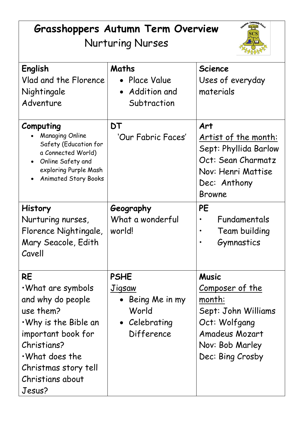# **Grasshoppers Autumn Term Overview** Nurturing Nurses



| English<br>Vlad and the Florence<br>Nightingale<br>Adventure                                                                                                                                                               | Maths<br>Place Value<br>Addition and<br>$\bullet$<br>Subtraction                                  | <b>Science</b><br>Uses of everyday<br>materials                                                                                                          |
|----------------------------------------------------------------------------------------------------------------------------------------------------------------------------------------------------------------------------|---------------------------------------------------------------------------------------------------|----------------------------------------------------------------------------------------------------------------------------------------------------------|
| Computing<br><b>Managing Online</b><br>Safety (Education for<br>a Connected World)<br>Online Safety and<br>$\bullet$<br>exploring Purple Mash<br><b>Animated Story Books</b>                                               | DT<br>'Our Fabric Faces'                                                                          | Art<br>Artist of the month:<br>Sept: Phyllida Barlow<br>Oct: Sean Charmatz<br>Nov: Henri Mattise<br>Dec: Anthony<br><b>Browne</b>                        |
| <b>History</b><br>Nurturing nurses,<br>Florence Nightingale,<br>Mary Seacole, Edith<br>Cavell                                                                                                                              | Geography<br>What a wonderful<br>world!                                                           | PE<br>Fundamentals<br>Team building<br>Gymnastics                                                                                                        |
| <b>RE</b><br>$\cdot$ What are symbols<br>and why do people<br>use them?<br>$\cdot$ Why is the Bible an<br>important book for<br>Christians?<br>$\cdot$ What does the<br>Christmas story tell<br>Christians about<br>Jesus? | <b>PSHE</b><br><b>Jigsaw</b><br>Being Me in my<br>World<br>Celebrating<br>$\bullet$<br>Difference | <b>Music</b><br><u>Composer of the</u><br>month:<br>Sept: John Williams<br>Oct: Wolfgang<br><b>Amadeus Mozart</b><br>Nov: Bob Marley<br>Dec: Bing Crosby |